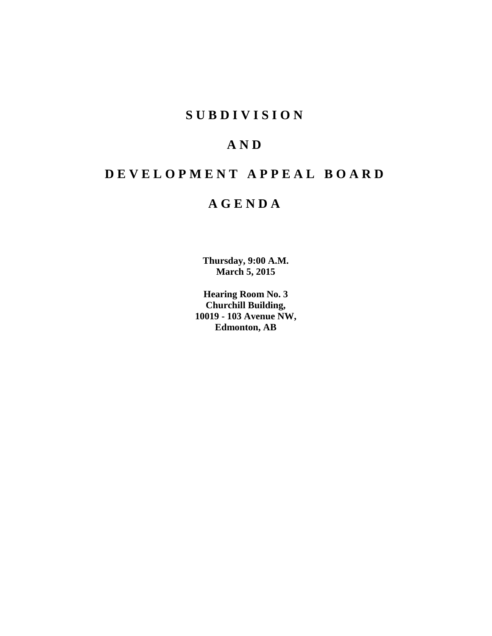## **SUBDIVISION**

## **AND**

## **DEVELOPMENT APPEAL BOARD**

## **AGENDA**

**Thursday, 9:00 A.M. March 5, 2015**

**Hearing Room No. 3 Churchill Building, 10019 - 103 Avenue NW, Edmonton, AB**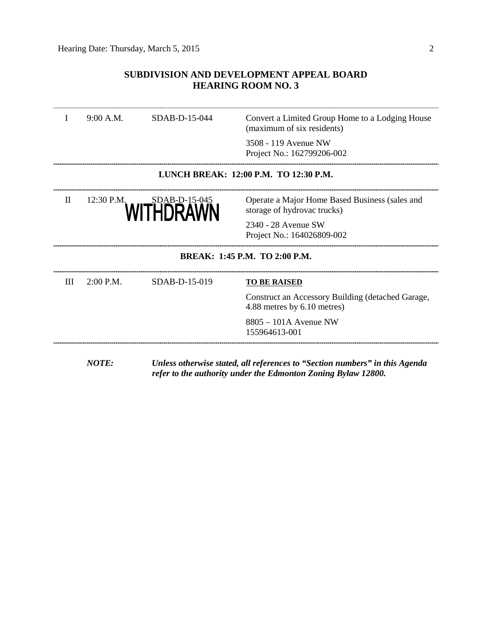## **SUBDIVISION AND DEVELOPMENT APPEAL BOARD HEARING ROOM NO. 3**

| SDAB-D-15-044<br>9:00 A.M. |              |                                                   | Convert a Limited Group Home to a Lodging House<br>(maximum of six residents)    |  |
|----------------------------|--------------|---------------------------------------------------|----------------------------------------------------------------------------------|--|
|                            |              |                                                   | 3508 - 119 Avenue NW<br>Project No.: 162799206-002                               |  |
|                            |              |                                                   | LUNCH BREAK: 12:00 P.M. TO 12:30 P.M.                                            |  |
| $\mathbf{I}$               | 12:30 P.M.   | WITHDRAWN                                         | Operate a Major Home Based Business (sales and<br>storage of hydrovac trucks)    |  |
|                            |              | 2340 - 28 Avenue SW<br>Project No.: 164026809-002 |                                                                                  |  |
|                            |              |                                                   | <b>BREAK: 1:45 P.M. TO 2:00 P.M.</b>                                             |  |
| Ш                          | $2:00$ P.M.  | SDAB-D-15-019                                     | <b>TO BE RAISED</b>                                                              |  |
|                            |              |                                                   | Construct an Accessory Building (detached Garage,<br>4.88 metres by 6.10 metres) |  |
|                            |              |                                                   | 8805 - 101A Avenue NW<br>155964613-001                                           |  |
|                            | <b>NOTE:</b> |                                                   | Unless otherwise stated, all references to "Section numbers" in this Agenda      |  |

*refer to the authority under the Edmonton Zoning Bylaw 12800.*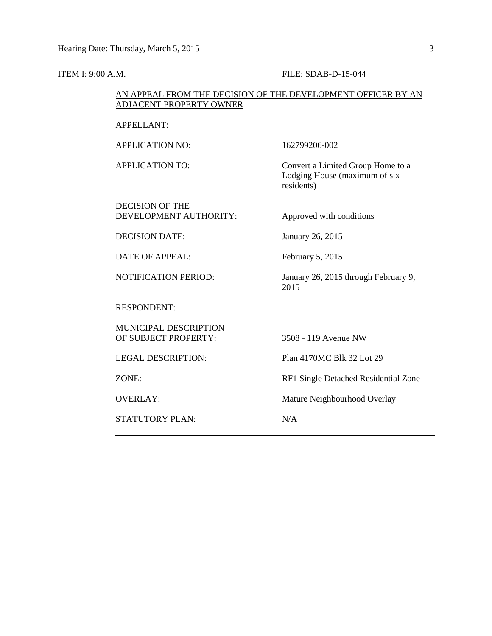#### **ITEM I: 9:00 A.M. FILE: SDAB-D-15-044**

## AN APPEAL FROM THE DECISION OF THE DEVELOPMENT OFFICER BY AN ADJACENT PROPERTY OWNER

APPELLANT:

APPLICATION NO: 162799206-002

APPLICATION TO: Convert a Limited Group Home to a Lodging House (maximum of six residents)

DECISION OF THE DEVELOPMENT AUTHORITY: Approved with conditions

DECISION DATE: January 26, 2015

DATE OF APPEAL: February 5, 2015

NOTIFICATION PERIOD: January 26, 2015 through February 9,

RESPONDENT:

MUNICIPAL DESCRIPTION OF SUBJECT PROPERTY: 3508 - 119 Avenue NW

STATUTORY PLAN: N/A

LEGAL DESCRIPTION: Plan 4170MC Blk 32 Lot 29

ZONE: RF1 Single Detached Residential Zone

OVERLAY: Mature Neighbourhood Overlay

2015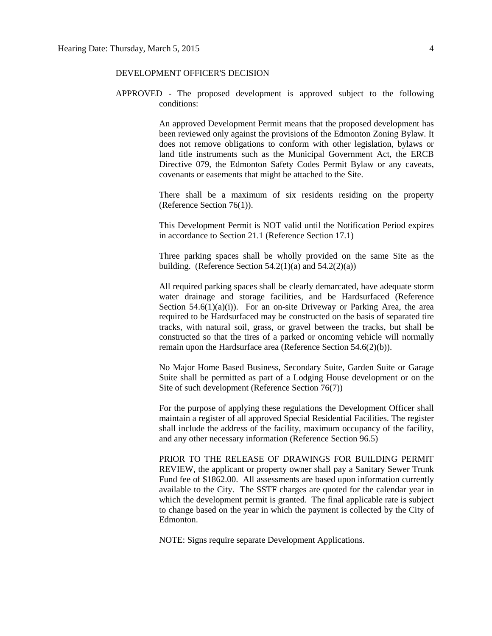## DEVELOPMENT OFFICER'S DECISION

APPROVED - The proposed development is approved subject to the following conditions:

> An approved Development Permit means that the proposed development has been reviewed only against the provisions of the Edmonton Zoning Bylaw. It does not remove obligations to conform with other legislation, bylaws or land title instruments such as the Municipal Government Act, the ERCB Directive 079, the Edmonton Safety Codes Permit Bylaw or any caveats, covenants or easements that might be attached to the Site.

> There shall be a maximum of six residents residing on the property (Reference Section 76(1)).

> This Development Permit is NOT valid until the Notification Period expires in accordance to Section 21.1 (Reference Section 17.1)

> Three parking spaces shall be wholly provided on the same Site as the building. (Reference Section  $54.2(1)(a)$  and  $54.2(2)(a)$ )

> All required parking spaces shall be clearly demarcated, have adequate storm water drainage and storage facilities, and be Hardsurfaced (Reference Section  $54.6(1)(a)(i)$ . For an on-site Driveway or Parking Area, the area required to be Hardsurfaced may be constructed on the basis of separated tire tracks, with natural soil, grass, or gravel between the tracks, but shall be constructed so that the tires of a parked or oncoming vehicle will normally remain upon the Hardsurface area (Reference Section 54.6(2)(b)).

> No Major Home Based Business, Secondary Suite, Garden Suite or Garage Suite shall be permitted as part of a Lodging House development or on the Site of such development (Reference Section 76(7))

> For the purpose of applying these regulations the Development Officer shall maintain a register of all approved Special Residential Facilities. The register shall include the address of the facility, maximum occupancy of the facility, and any other necessary information (Reference Section 96.5)

> PRIOR TO THE RELEASE OF DRAWINGS FOR BUILDING PERMIT REVIEW, the applicant or property owner shall pay a Sanitary Sewer Trunk Fund fee of \$1862.00. All assessments are based upon information currently available to the City. The SSTF charges are quoted for the calendar year in which the development permit is granted. The final applicable rate is subject to change based on the year in which the payment is collected by the City of Edmonton.

NOTE: Signs require separate Development Applications.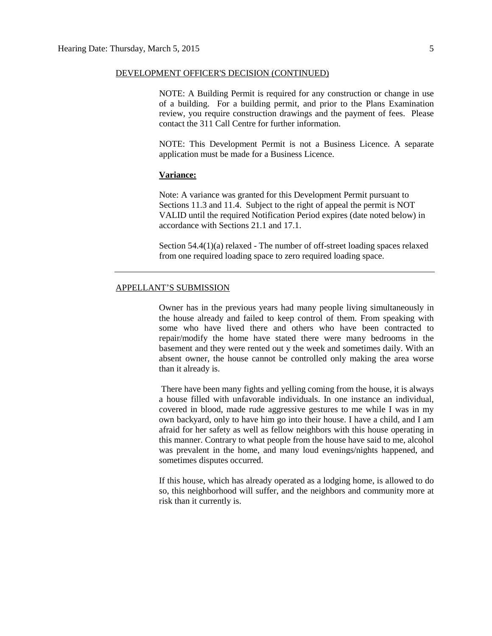## DEVELOPMENT OFFICER'S DECISION (CONTINUED)

NOTE: A Building Permit is required for any construction or change in use of a building. For a building permit, and prior to the Plans Examination review, you require construction drawings and the payment of fees. Please contact the 311 Call Centre for further information.

NOTE: This Development Permit is not a Business Licence. A separate application must be made for a Business Licence.

## **Variance:**

Note: A variance was granted for this Development Permit pursuant to Sections 11.3 and 11.4. Subject to the right of appeal the permit is NOT VALID until the required Notification Period expires (date noted below) in accordance with Sections 21.1 and 17.1.

Section 54.4(1)(a) relaxed - The number of off-street loading spaces relaxed from one required loading space to zero required loading space.

## APPELLANT'S SUBMISSION

Owner has in the previous years had many people living simultaneously in the house already and failed to keep control of them. From speaking with some who have lived there and others who have been contracted to repair/modify the home have stated there were many bedrooms in the basement and they were rented out y the week and sometimes daily. With an absent owner, the house cannot be controlled only making the area worse than it already is.

There have been many fights and yelling coming from the house, it is always a house filled with unfavorable individuals. In one instance an individual, covered in blood, made rude aggressive gestures to me while I was in my own backyard, only to have him go into their house. I have a child, and I am afraid for her safety as well as fellow neighbors with this house operating in this manner. Contrary to what people from the house have said to me, alcohol was prevalent in the home, and many loud evenings/nights happened, and sometimes disputes occurred.

If this house, which has already operated as a lodging home, is allowed to do so, this neighborhood will suffer, and the neighbors and community more at risk than it currently is.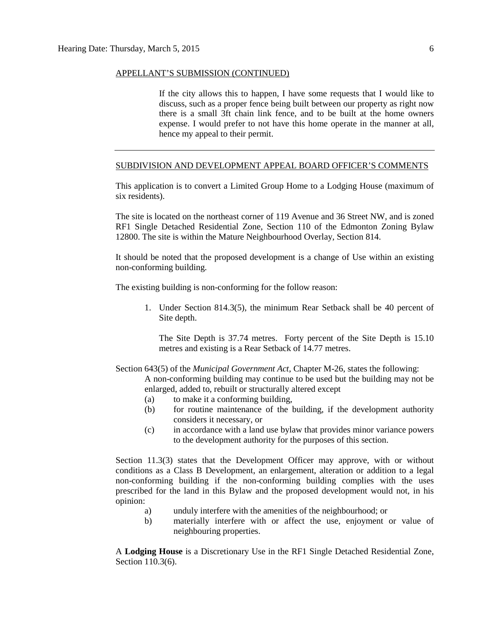#### APPELLANT'S SUBMISSION (CONTINUED)

If the city allows this to happen, I have some requests that I would like to discuss, such as a proper fence being built between our property as right now there is a small 3ft chain link fence, and to be built at the home owners expense. I would prefer to not have this home operate in the manner at all, hence my appeal to their permit.

### SUBDIVISION AND DEVELOPMENT APPEAL BOARD OFFICER'S COMMENTS

This application is to convert a Limited Group Home to a Lodging House (maximum of six residents).

The site is located on the northeast corner of 119 Avenue and 36 Street NW, and is zoned RF1 Single Detached Residential Zone, Section 110 of the Edmonton Zoning Bylaw 12800. The site is within the Mature Neighbourhood Overlay, Section 814.

It should be noted that the proposed development is a change of Use within an existing non-conforming building.

The existing building is non-conforming for the follow reason:

1. Under Section 814.3(5), the minimum Rear Setback shall be 40 percent of Site depth.

The Site Depth is 37.74 metres. Forty percent of the Site Depth is 15.10 metres and existing is a Rear Setback of 14.77 metres.

Section 643(5) of the *Municipal Government Act*, Chapter M-26, states the following:

A non-conforming building may continue to be used but the building may not be enlarged, added to, rebuilt or structurally altered except

- (a) to make it a conforming building,
- (b) for routine maintenance of the building, if the development authority considers it necessary, or
- (c) in accordance with a land use bylaw that provides minor variance powers to the development authority for the purposes of this section.

Section 11.3(3) states that the Development Officer may approve, with or without conditions as a Class B Development, an enlargement, alteration or addition to a legal non-conforming building if the non-conforming building complies with the uses prescribed for the land in this Bylaw and the proposed development would not, in his opinion:

- a) unduly interfere with the amenities of the neighbourhood; or
- b) materially interfere with or affect the use, enjoyment or value of neighbouring properties.

A **Lodging House** is a Discretionary Use in the RF1 Single Detached Residential Zone, Section 110.3(6).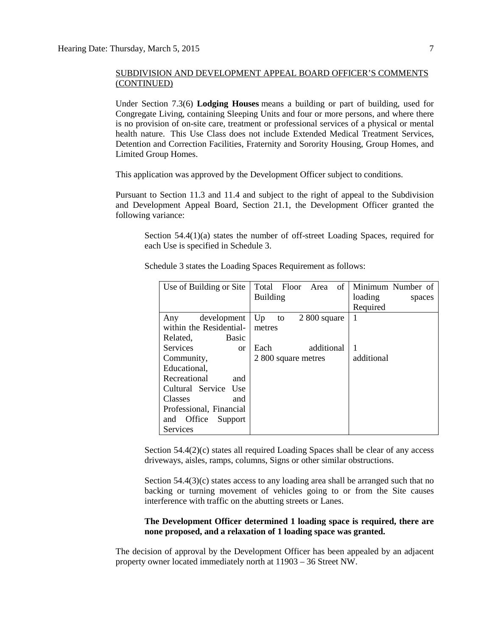Under Section 7.3(6) **Lodging Houses** means a building or part of building, used for Congregate Living, containing Sleeping Units and four or more persons, and where there is no provision of on-site care, treatment or professional services of a physical or mental health nature. This Use Class does not include Extended Medical Treatment Services, Detention and Correction Facilities, Fraternity and Sorority Housing, Group Homes, and Limited Group Homes.

This application was approved by the Development Officer subject to conditions.

Pursuant to Section 11.3 and 11.4 and subject to the right of appeal to the Subdivision and Development Appeal Board, Section 21.1, the Development Officer granted the following variance:

Section  $54.4(1)(a)$  states the number of off-street Loading Spaces, required for each Use is specified in Schedule 3.

| Use of Building or Site      | Total Floor Area<br>$of \mid$ | Minimum Number of |
|------------------------------|-------------------------------|-------------------|
|                              | <b>Building</b>               | loading<br>spaces |
|                              |                               | Required          |
| development<br>Any           | Up<br>$2800$ square<br>to     | $\mathbf{1}$      |
| within the Residential-      | metres                        |                   |
| Related,<br>Basic            |                               |                   |
| <b>Services</b><br><b>or</b> | additional<br>Each            | 1                 |
| Community,                   | 2 800 square metres           | additional        |
| Educational,                 |                               |                   |
| Recreational<br>and          |                               |                   |
| Cultural Service Use         |                               |                   |
| <b>Classes</b><br>and        |                               |                   |
| Professional, Financial      |                               |                   |
| Office<br>Support<br>and     |                               |                   |
| Services                     |                               |                   |

Schedule 3 states the Loading Spaces Requirement as follows:

Section 54.4(2)(c) states all required Loading Spaces shall be clear of any access driveways, aisles, ramps, columns, Signs or other similar obstructions.

Section  $54.4(3)(c)$  states access to any loading area shall be arranged such that no backing or turning movement of vehicles going to or from the Site causes interference with traffic on the abutting streets or Lanes.

## **The Development Officer determined 1 loading space is required, there are none proposed, and a relaxation of 1 loading space was granted.**

The decision of approval by the Development Officer has been appealed by an adjacent property owner located immediately north at 11903 – 36 Street NW.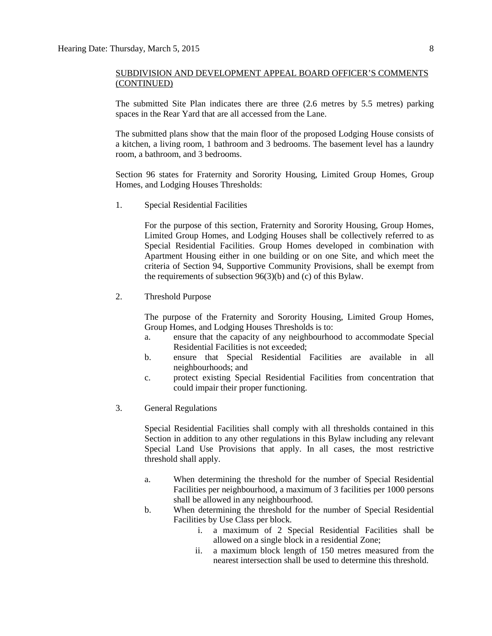The submitted Site Plan indicates there are three (2.6 metres by 5.5 metres) parking spaces in the Rear Yard that are all accessed from the Lane.

The submitted plans show that the main floor of the proposed Lodging House consists of a kitchen, a living room, 1 bathroom and 3 bedrooms. The basement level has a laundry room, a bathroom, and 3 bedrooms.

Section 96 states for Fraternity and Sorority Housing, Limited Group Homes, Group Homes, and Lodging Houses Thresholds:

1. Special Residential Facilities

For the purpose of this section, [Fraternity and Sorority Housing, Group Homes,](javascript:void(0);) [Limited Group Homes,](javascript:void(0);) and [Lodging Houses](javascript:void(0);) shall be collectively referred to as Special Residential Facilities. Group Homes developed in combination with Apartment Housing either in one building or on one Site, and which meet the criteria of [Section 94,](http://webdocs.edmonton.ca/InfraPlan/zoningbylaw/ZoningBylaw/Part1/Special_Land/94._Supportive_Community_Provision.htm) Supportive Community Provisions, shall be exempt from the requirements of subsection 96(3)(b) and (c) of this Bylaw.

2. Threshold Purpose

The purpose of the Fraternity and Sorority Housing, Limited Group Homes, Group Homes, and Lodging Houses Thresholds is to:

- a. ensure that the capacity of any neighbourhood to accommodate Special Residential Facilities is not exceeded;
- b. ensure that Special Residential Facilities are available in all neighbourhoods; and
- c. protect existing Special Residential Facilities from concentration that could impair their proper functioning.
- 3. General Regulations

Special Residential Facilities shall comply with all thresholds contained in this Section in addition to any other regulations in this Bylaw including any relevant Special Land Use Provisions that apply. In all cases, the most restrictive threshold shall apply.

- a. When determining the threshold for the number of Special Residential Facilities per neighbourhood, a maximum of 3 facilities per 1000 persons shall be allowed in any neighbourhood.
- b. When determining the threshold for the number of Special Residential Facilities by Use Class per block.
	- i. a maximum of 2 Special Residential Facilities shall be allowed on a single block in a residential Zone;
	- ii. a maximum block length of [150 me](javascript:void(0);)tres measured from the nearest intersection shall be used to determine this threshold.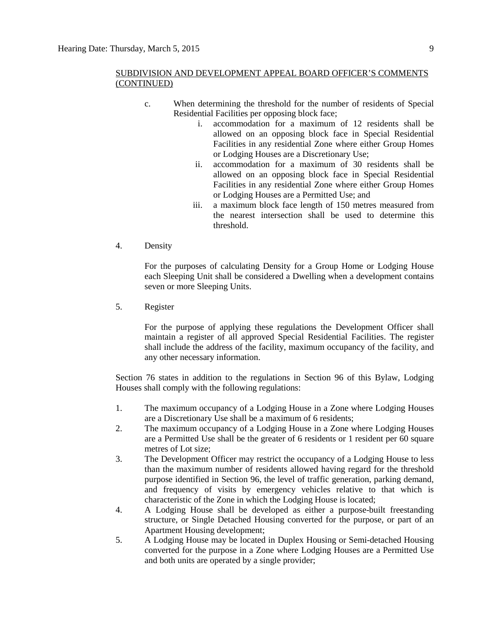- c. When determining the threshold for the number of residents of Special Residential Facilities per opposing block face;
	- i. accommodation for a maximum of 12 residents shall be allowed on an opposing block face in Special Residential Facilities in any residential Zone where either Group Homes or Lodging Houses are a Discretionary Use;
	- ii. accommodation for a maximum of 30 residents shall be allowed on an opposing block face in Special Residential Facilities in any residential Zone where either Group Homes or Lodging Houses are a Permitted Use; and
	- iii. a maximum block face length of [150 me](javascript:void(0);)tres measured from the nearest intersection shall be used to determine this threshold.
- 4. Density

For the purposes of calculating Density for a Group Home or Lodging House each Sleeping Unit shall be considered a Dwelling when a development contains seven or more Sleeping Units.

5. Register

For the purpose of applying these regulations the Development Officer shall maintain a register of all approved Special Residential Facilities. The register shall include the address of the facility, maximum occupancy of the facility, and any other necessary information.

Section 76 states in addition to the regulations in [Section 96](http://webdocs.edmonton.ca/InfraPlan/zoningbylaw/ZoningBylaw/Part1/Special_Land/96._Fraternity_and_Sorority_Housing,_Limited_Group_Homes,_Group_Homes,_and_Lodging_Houses_Thresholds.htm) of this Bylaw, Lodging Houses shall comply with the following regulations:

- 1. The maximum occupancy of a [Lodging House](javascript:void(0);) in a Zone where Lodging Houses are a Discretionary Use shall be a maximum of 6 residents;
- 2. The maximum occupancy of a Lodging House in a Zone where Lodging Houses are a Permitted Use shall be the greater of 6 residents or 1 resident per 60 square metres of Lot size;
- 3. The Development Officer may restrict the occupancy of a Lodging House to less than the maximum number of residents allowed having regard for the threshold purpose identified in Section 96, the level of traffic generation, parking demand, and frequency of visits by emergency vehicles relative to that which is characteristic of the Zone in which the Lodging House is located;
- 4. A Lodging House shall be developed as either a purpose-built freestanding structure, or Single Detached Housing converted for the purpose, or part of an [Apartment Housing](javascript:void(0);) development;
- 5. A Lodging House may be located in [Duplex Housing](javascript:void(0);) or [Semi-detached Housing](javascript:void(0);) converted for the purpose in a Zone where Lodging Houses are a Permitted Use and both units are operated by a single provider;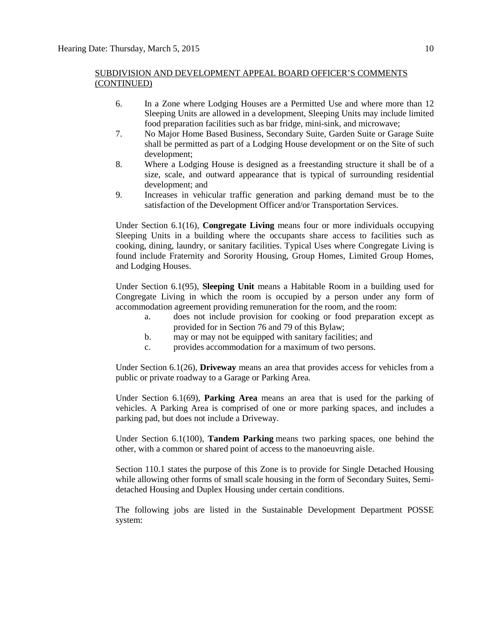- 6. In a Zone where Lodging Houses are a Permitted Use and where more than 12 Sleeping Units are allowed in a development, Sleeping Units may include limited food preparation facilities such as bar fridge, mini-sink, and microwave;
- 7. No [Major Home Based Business, Secondary Suite, Garden Suite](javascript:void(0);) or [Garage Suite](javascript:void(0);) shall be permitted as part of a Lodging House development or on the Site of such development;
- 8. Where a Lodging House is designed as a freestanding structure it shall be of a size, scale, and outward appearance that is typical of surrounding residential development; and
- 9. Increases in vehicular traffic generation and parking demand must be to the satisfaction of the Development Officer and/or Transportation Services.

Under Section 6.1(16), **Congregate Living** means four or more individuals occupying Sleeping Units in a building where the occupants share access to facilities such as cooking, dining, laundry, or sanitary facilities. Typical Uses where Congregate Living is found include Fraternity and Sorority Housing, Group Homes, Limited Group Homes, and Lodging Houses.

Under Section 6.1(95), **Sleeping Unit** means a Habitable Room in a building used for Congregate Living in which the room is occupied by a person under any form of accommodation agreement providing remuneration for the room, and the room:

- a. does not include provision for cooking or food preparation except as provided for in Section 76 and 79 of this Bylaw;
- b. may or may not be equipped with sanitary facilities; and
- c. provides accommodation for a maximum of two persons.

Under Section 6.1(26), **Driveway** means an area that provides access for vehicles from a public or private roadway to a Garage or Parking Area.

Under Section 6.1(69), **Parking Area** means an area that is used for the parking of vehicles. A Parking Area is comprised of one or more parking spaces, and includes a parking pad, but does not include a Driveway.

Under Section 6.1(100), **Tandem Parking** means two parking spaces, one behind the other, with a common or shared point of access to the manoeuvring aisle.

Section 110.1 states the purpose of this Zone is to provide for Single Detached Housing while allowing other forms of small scale housing in the form of Secondary Suites, Semidetached Housing and Duplex Housing under certain conditions.

The following jobs are listed in the Sustainable Development Department POSSE system: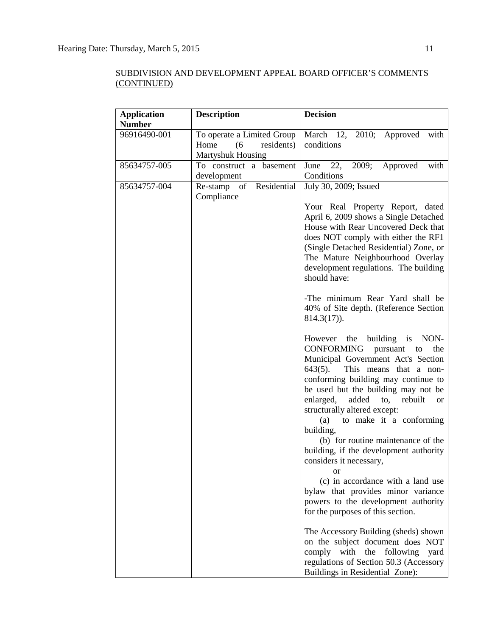| <b>Application</b><br><b>Number</b> | <b>Description</b>                                                                  | <b>Decision</b>                                                                                                                                                                                                                                                                                                                                                                                                                                                                                                                                                                                                                                                                                                                                                                                                                                                                                                                                                                                                                                                                                                                                                                                                                                                                              |
|-------------------------------------|-------------------------------------------------------------------------------------|----------------------------------------------------------------------------------------------------------------------------------------------------------------------------------------------------------------------------------------------------------------------------------------------------------------------------------------------------------------------------------------------------------------------------------------------------------------------------------------------------------------------------------------------------------------------------------------------------------------------------------------------------------------------------------------------------------------------------------------------------------------------------------------------------------------------------------------------------------------------------------------------------------------------------------------------------------------------------------------------------------------------------------------------------------------------------------------------------------------------------------------------------------------------------------------------------------------------------------------------------------------------------------------------|
| 96916490-001                        | To operate a Limited Group<br>Home<br>(6)<br>residents)<br><b>Martyshuk Housing</b> | March 12,<br>2010; Approved<br>with<br>conditions                                                                                                                                                                                                                                                                                                                                                                                                                                                                                                                                                                                                                                                                                                                                                                                                                                                                                                                                                                                                                                                                                                                                                                                                                                            |
| 85634757-005                        | To construct a basement<br>development                                              | Approved<br>with<br>June $22$ ,<br>2009;<br>Conditions                                                                                                                                                                                                                                                                                                                                                                                                                                                                                                                                                                                                                                                                                                                                                                                                                                                                                                                                                                                                                                                                                                                                                                                                                                       |
| 85634757-004                        | Re-stamp of Residential<br>Compliance                                               | July 30, 2009; Issued<br>Your Real Property Report, dated<br>April 6, 2009 shows a Single Detached<br>House with Rear Uncovered Deck that<br>does NOT comply with either the RF1<br>(Single Detached Residential) Zone, or<br>The Mature Neighbourhood Overlay<br>development regulations. The building<br>should have:<br>-The minimum Rear Yard shall be<br>40% of Site depth. (Reference Section<br>$814.3(17)$ .<br>However the<br>building is NON-<br>CONFORMING<br>pursuant to<br>the<br>Municipal Government Act's Section<br>$643(5)$ .<br>This means that a non-<br>conforming building may continue to<br>be used but the building may not be<br>enlarged, added<br>$\mathfrak{to},$<br>rebuilt<br><b>or</b><br>structurally altered except:<br>to make it a conforming<br>(a)<br>building,<br>(b) for routine maintenance of the<br>building, if the development authority<br>considers it necessary,<br><sub>or</sub><br>(c) in accordance with a land use<br>bylaw that provides minor variance<br>powers to the development authority<br>for the purposes of this section.<br>The Accessory Building (sheds) shown<br>on the subject document does NOT<br>with the<br>following<br>comply<br>yard<br>regulations of Section 50.3 (Accessory<br>Buildings in Residential Zone): |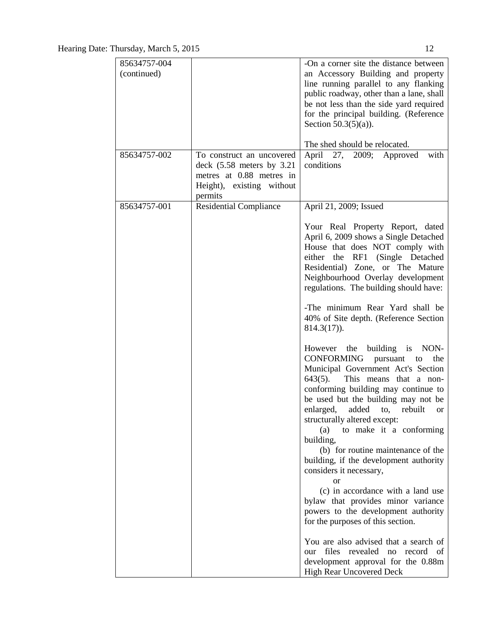| 85634757-004 |                                                       | -On a corner site the distance between                                                                                                                                                                                                                                                                                                                                                                                                                                                                        |
|--------------|-------------------------------------------------------|---------------------------------------------------------------------------------------------------------------------------------------------------------------------------------------------------------------------------------------------------------------------------------------------------------------------------------------------------------------------------------------------------------------------------------------------------------------------------------------------------------------|
| (continued)  |                                                       | an Accessory Building and property<br>line running parallel to any flanking                                                                                                                                                                                                                                                                                                                                                                                                                                   |
|              |                                                       | public roadway, other than a lane, shall                                                                                                                                                                                                                                                                                                                                                                                                                                                                      |
|              |                                                       | be not less than the side yard required                                                                                                                                                                                                                                                                                                                                                                                                                                                                       |
|              |                                                       | for the principal building. (Reference<br>Section $50.3(5)(a)$ ).                                                                                                                                                                                                                                                                                                                                                                                                                                             |
|              |                                                       | The shed should be relocated.                                                                                                                                                                                                                                                                                                                                                                                                                                                                                 |
| 85634757-002 | To construct an uncovered                             | April<br>27, 2009; Approved<br>with                                                                                                                                                                                                                                                                                                                                                                                                                                                                           |
|              | deck $(5.58$ meters by $3.21$                         | conditions                                                                                                                                                                                                                                                                                                                                                                                                                                                                                                    |
|              | metres at 0.88 metres in<br>Height), existing without |                                                                                                                                                                                                                                                                                                                                                                                                                                                                                                               |
|              | permits                                               |                                                                                                                                                                                                                                                                                                                                                                                                                                                                                                               |
| 85634757-001 | <b>Residential Compliance</b>                         | April 21, 2009; Issued                                                                                                                                                                                                                                                                                                                                                                                                                                                                                        |
|              |                                                       | Your Real Property Report, dated<br>April 6, 2009 shows a Single Detached<br>House that does NOT comply with<br>either the RF1 (Single Detached<br>Residential) Zone, or The Mature<br>Neighbourhood Overlay development<br>regulations. The building should have:                                                                                                                                                                                                                                            |
|              |                                                       | -The minimum Rear Yard shall be<br>40% of Site depth. (Reference Section<br>$814.3(17)$ .                                                                                                                                                                                                                                                                                                                                                                                                                     |
|              |                                                       | However the building is NON-<br>CONFORMING<br>pursuant to<br>the<br>Municipal Government Act's Section<br>$643(5)$ .<br>This means that a non-<br>conforming building may continue to<br>be used but the building may not be<br>enlarged, added to, rebuilt<br><b>or</b><br>structurally altered except:<br>to make it a conforming<br>(a)<br>building,<br>(b) for routine maintenance of the<br>building, if the development authority<br>considers it necessary,<br>or<br>(c) in accordance with a land use |
|              |                                                       | bylaw that provides minor variance<br>powers to the development authority<br>for the purposes of this section.                                                                                                                                                                                                                                                                                                                                                                                                |
|              |                                                       |                                                                                                                                                                                                                                                                                                                                                                                                                                                                                                               |
|              |                                                       | You are also advised that a search of<br>files revealed no<br>record of<br>our                                                                                                                                                                                                                                                                                                                                                                                                                                |
|              |                                                       | development approval for the 0.88m                                                                                                                                                                                                                                                                                                                                                                                                                                                                            |
|              |                                                       | High Rear Uncovered Deck                                                                                                                                                                                                                                                                                                                                                                                                                                                                                      |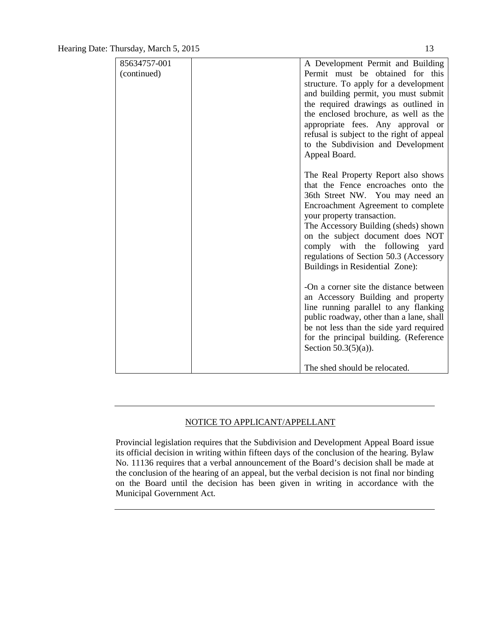| 85634757-001 | A Development Permit and Building         |
|--------------|-------------------------------------------|
| (continued)  | Permit must be obtained for this          |
|              | structure. To apply for a development     |
|              | and building permit, you must submit      |
|              | the required drawings as outlined in      |
|              | the enclosed brochure, as well as the     |
|              | appropriate fees. Any approval or         |
|              | refusal is subject to the right of appeal |
|              | to the Subdivision and Development        |
|              | Appeal Board.                             |
|              |                                           |
|              | The Real Property Report also shows       |
|              | that the Fence encroaches onto the        |
|              | 36th Street NW. You may need an           |
|              | Encroachment Agreement to complete        |
|              | your property transaction.                |
|              | The Accessory Building (sheds) shown      |
|              | on the subject document does NOT          |
|              | comply with the following yard            |
|              | regulations of Section 50.3 (Accessory    |
|              | Buildings in Residential Zone):           |
|              |                                           |
|              | -On a corner site the distance between    |
|              | an Accessory Building and property        |
|              | line running parallel to any flanking     |
|              | public roadway, other than a lane, shall  |
|              | be not less than the side yard required   |
|              | for the principal building. (Reference    |
|              | Section $50.3(5)(a)$ ).                   |
|              | The shed should be relocated.             |

## NOTICE TO APPLICANT/APPELLANT

Provincial legislation requires that the Subdivision and Development Appeal Board issue its official decision in writing within fifteen days of the conclusion of the hearing. Bylaw No. 11136 requires that a verbal announcement of the Board's decision shall be made at the conclusion of the hearing of an appeal, but the verbal decision is not final nor binding on the Board until the decision has been given in writing in accordance with the Municipal Government Act.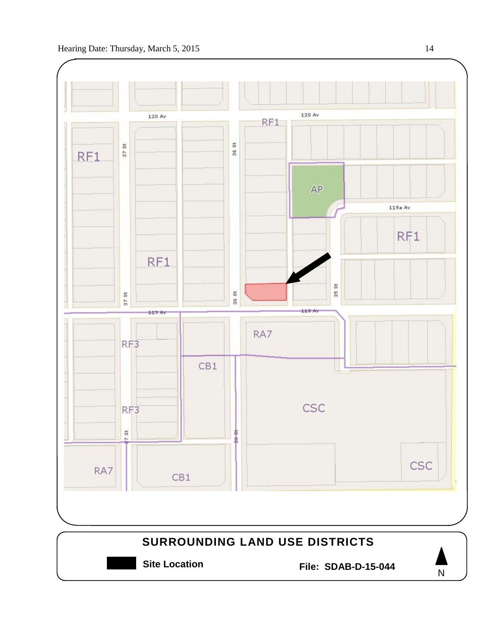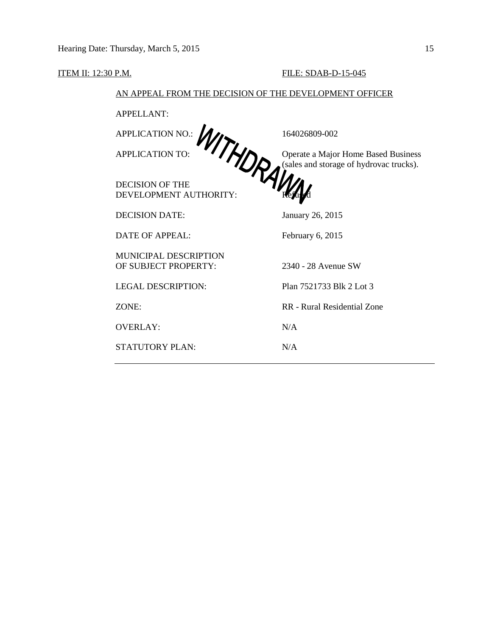## **ITEM II: 12:30 P.M. FILE: SDAB-D-15-045**

## AN APPEAL FROM THE DECISION OF THE DEVELOPMENT OFFICER

|                              | 164026809-002                                                                  |
|------------------------------|--------------------------------------------------------------------------------|
| PELLON NO. WITHDRAW          | Operate a Major Home Based Business<br>(sales and storage of hydrovac trucks). |
|                              |                                                                                |
| DEVELOPMENT AUTHORITY:       |                                                                                |
| <b>DECISION DATE:</b>        | January 26, 2015                                                               |
| <b>DATE OF APPEAL:</b>       | February 6, 2015                                                               |
| <b>MUNICIPAL DESCRIPTION</b> |                                                                                |
| OF SUBJECT PROPERTY:         | 2340 - 28 Avenue SW                                                            |
| <b>LEGAL DESCRIPTION:</b>    | Plan 7521733 Blk 2 Lot 3                                                       |
| ZONE:                        | RR - Rural Residential Zone                                                    |
| <b>OVERLAY:</b>              | N/A                                                                            |
| <b>STATUTORY PLAN:</b>       | N/A                                                                            |
|                              |                                                                                |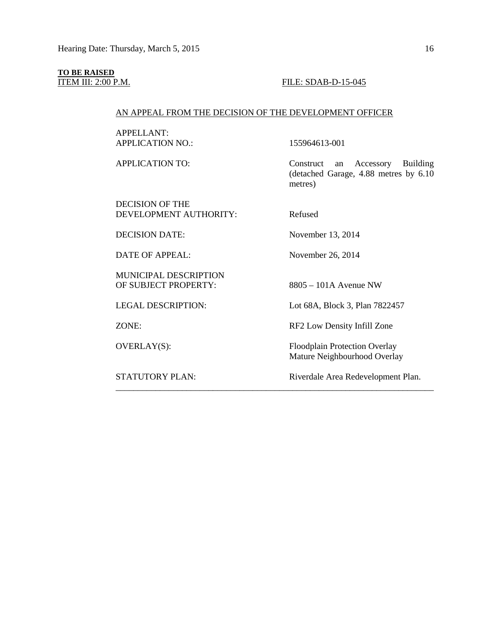# **TO BE RAISED**

#### FILE: SDAB-D-15-045

## AN APPEAL FROM THE DECISION OF THE DEVELOPMENT OFFICER

APPELLANT: APPLICATION NO.: 155964613-001

APPLICATION TO: Construct an Accessory Building

DECISION OF THE DEVELOPMENT AUTHORITY: Refused

MUNICIPAL DESCRIPTION OF SUBJECT PROPERTY: 8805 – 101A Avenue NW

(detached Garage, 4.88 metres by 6.10

\_\_\_\_\_\_\_\_\_\_\_\_\_\_\_\_\_\_\_\_\_\_\_\_\_\_\_\_\_\_\_\_\_\_\_\_\_\_\_\_\_\_\_\_\_\_\_\_\_\_\_\_\_\_\_\_\_\_\_\_\_\_\_\_\_\_\_\_\_\_\_\_

metres)

DECISION DATE: November 13, 2014

DATE OF APPEAL: November 26, 2014

LEGAL DESCRIPTION: Lot 68A, Block 3, Plan 7822457

ZONE: RF2 Low Density Infill Zone

OVERLAY(S): Floodplain Protection Overlay Mature Neighbourhood Overlay

STATUTORY PLAN: Riverdale Area Redevelopment Plan.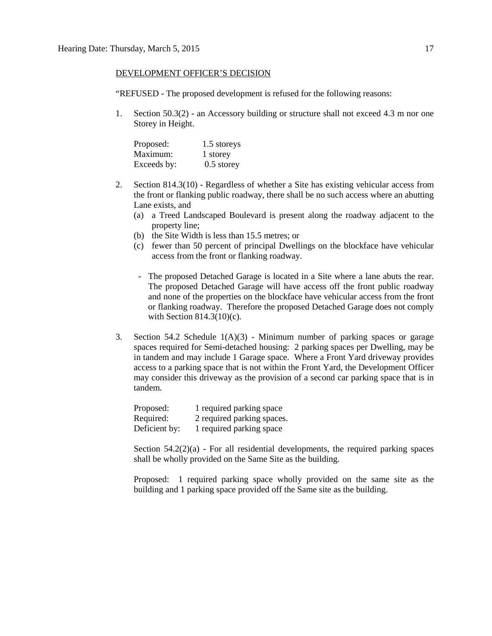## DEVELOPMENT OFFICER'S DECISION

"REFUSED - The proposed development is refused for the following reasons:

1. Section 50.3(2) - an Accessory building or structure shall not exceed 4.3 m nor one Storey in Height.

| Proposed:   | 1.5 storeys  |
|-------------|--------------|
| Maximum:    | 1 storey     |
| Exceeds by: | $0.5$ storey |

- 2. Section 814.3(10) Regardless of whether a Site has existing vehicular access from the front or flanking public roadway, there shall be no such access where an abutting Lane exists, and
	- (a) a Treed Landscaped Boulevard is present along the roadway adjacent to the property line;
	- (b) the Site Width is less than 15.5 metres; or
	- (c) fewer than 50 percent of principal Dwellings on the blockface have vehicular access from the front or flanking roadway.
	- The proposed Detached Garage is located in a Site where a lane abuts the rear. The proposed Detached Garage will have access off the front public roadway and none of the properties on the blockface have vehicular access from the front or flanking roadway. Therefore the proposed Detached Garage does not comply with Section 814.3(10)(c).
- 3. Section 54.2 Schedule  $1(A)(3)$  Minimum number of parking spaces or garage spaces required for Semi-detached housing: 2 parking spaces per Dwelling, may be in tandem and may include 1 Garage space. Where a Front Yard driveway provides access to a parking space that is not within the Front Yard, the Development Officer may consider this driveway as the provision of a second car parking space that is in tandem.

| Proposed:     | 1 required parking space   |
|---------------|----------------------------|
| Required:     | 2 required parking spaces. |
| Deficient by: | 1 required parking space   |

Section  $54.2(2)(a)$  - For all residential developments, the required parking spaces shall be wholly provided on the Same Site as the building.

Proposed: 1 required parking space wholly provided on the same site as the building and 1 parking space provided off the Same site as the building.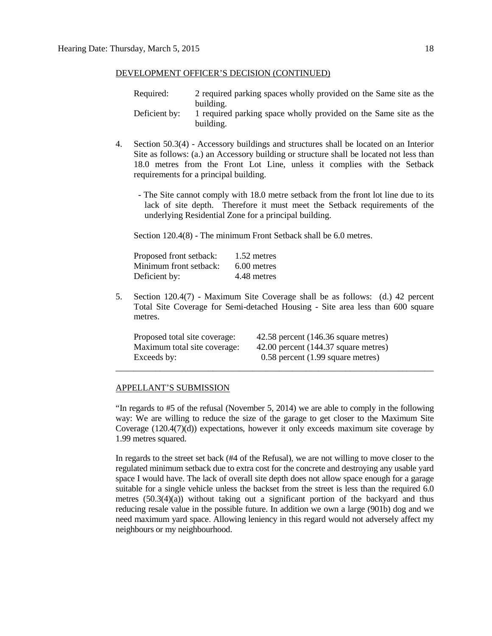## DEVELOPMENT OFFICER'S DECISION (CONTINUED)

| Required:     | 2 required parking spaces wholly provided on the Same site as the                          |
|---------------|--------------------------------------------------------------------------------------------|
| Deficient by: | building.<br>1 required parking space wholly provided on the Same site as the<br>building. |

- 4. Section 50.3(4) Accessory buildings and structures shall be located on an Interior Site as follows: (a.) an Accessory building or structure shall be located not less than 18.0 metres from the Front Lot Line, unless it complies with the Setback requirements for a principal building.
	- The Site cannot comply with 18.0 metre setback from the front lot line due to its lack of site depth. Therefore it must meet the Setback requirements of the underlying Residential Zone for a principal building.

Section 120.4(8) - The minimum Front Setback shall be 6.0 metres.

| Proposed front setback: | 1.52 metres   |
|-------------------------|---------------|
| Minimum front setback:  | $6.00$ metres |
| Deficient by:           | 4.48 metres   |

5. Section 120.4(7) - Maximum Site Coverage shall be as follows: (d.) 42 percent Total Site Coverage for Semi-detached Housing - Site area less than 600 square metres.

| Proposed total site coverage: | 42.58 percent (146.36 square metres)  |
|-------------------------------|---------------------------------------|
| Maximum total site coverage:  | 42.00 percent (144.37 square metres)  |
| Exceeds by:                   | $0.58$ percent $(1.99$ square metres) |
|                               |                                       |

#### APPELLANT'S SUBMISSION

"In regards to #5 of the refusal (November 5, 2014) we are able to comply in the following way: We are willing to reduce the size of the garage to get closer to the Maximum Site Coverage (120.4(7)(d)) expectations, however it only exceeds maximum site coverage by 1.99 metres squared.

In regards to the street set back (#4 of the Refusal), we are not willing to move closer to the regulated minimum setback due to extra cost for the concrete and destroying any usable yard space I would have. The lack of overall site depth does not allow space enough for a garage suitable for a single vehicle unless the backset from the street is less than the required 6.0 metres  $(50.3(4)(a))$  without taking out a significant portion of the backyard and thus reducing resale value in the possible future. In addition we own a large (901b) dog and we need maximum yard space. Allowing leniency in this regard would not adversely affect my neighbours or my neighbourhood.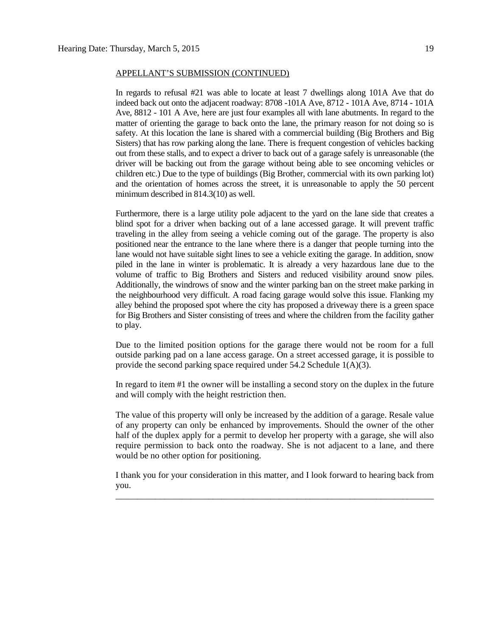### APPELLANT'S SUBMISSION (CONTINUED)

In regards to refusal #21 was able to locate at least 7 dwellings along 101A Ave that do indeed back out onto the adjacent roadway: 8708 -101A Ave, 8712 - 101A Ave, 8714 - 101A Ave, 8812 - 101 A Ave, here are just four examples all with lane abutments. In regard to the matter of orienting the garage to back onto the lane, the primary reason for not doing so is safety. At this location the lane is shared with a commercial building (Big Brothers and Big Sisters) that has row parking along the lane. There is frequent congestion of vehicles backing out from these stalls, and to expect a driver to back out of a garage safely is unreasonable (the driver will be backing out from the garage without being able to see oncoming vehicles or children etc.) Due to the type of buildings (Big Brother, commercial with its own parking lot) and the orientation of homes across the street, it is unreasonable to apply the 50 percent minimum described in 814.3(10) as well.

Furthermore, there is a large utility pole adjacent to the yard on the lane side that creates a blind spot for a driver when backing out of a lane accessed garage. It will prevent traffic traveling in the alley from seeing a vehicle coming out of the garage. The property is also positioned near the entrance to the lane where there is a danger that people turning into the lane would not have suitable sight lines to see a vehicle exiting the garage. In addition, snow piled in the lane in winter is problematic. It is already a very hazardous lane due to the volume of traffic to Big Brothers and Sisters and reduced visibility around snow piles. Additionally, the windrows of snow and the winter parking ban on the street make parking in the neighbourhood very difficult. A road facing garage would solve this issue. Flanking my alley behind the proposed spot where the city has proposed a driveway there is a green space for Big Brothers and Sister consisting of trees and where the children from the facility gather to play.

Due to the limited position options for the garage there would not be room for a full outside parking pad on a lane access garage. On a street accessed garage, it is possible to provide the second parking space required under 54.2 Schedule 1(A)(3).

In regard to item #1 the owner will be installing a second story on the duplex in the future and will comply with the height restriction then.

The value of this property will only be increased by the addition of a garage. Resale value of any property can only be enhanced by improvements. Should the owner of the other half of the duplex apply for a permit to develop her property with a garage, she will also require permission to back onto the roadway. She is not adjacent to a lane, and there would be no other option for positioning.

I thank you for your consideration in this matter, and I look forward to hearing back from you. \_\_\_\_\_\_\_\_\_\_\_\_\_\_\_\_\_\_\_\_\_\_\_\_\_\_\_\_\_\_\_\_\_\_\_\_\_\_\_\_\_\_\_\_\_\_\_\_\_\_\_\_\_\_\_\_\_\_\_\_\_\_\_\_\_\_\_\_\_\_\_\_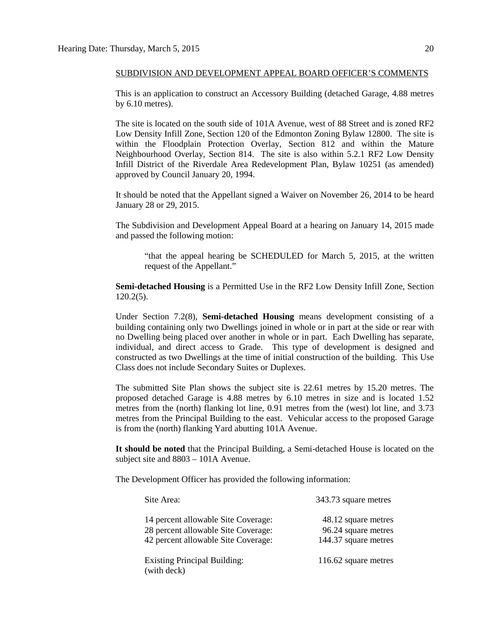This is an application to construct an Accessory Building (detached Garage, 4.88 metres by 6.10 metres).

The site is located on the south side of 101A Avenue, west of 88 Street and is zoned RF2 Low Density Infill Zone, Section 120 of the Edmonton Zoning Bylaw 12800. The site is within the Floodplain Protection Overlay, Section 812 and within the Mature Neighbourhood Overlay, Section 814. The site is also within 5.2.1 RF2 Low Density Infill District of the Riverdale Area Redevelopment Plan, Bylaw 10251 (as amended) approved by Council January 20, 1994.

It should be noted that the Appellant signed a Waiver on November 26, 2014 to be heard January 28 or 29, 2015.

The Subdivision and Development Appeal Board at a hearing on January 14, 2015 made and passed the following motion:

"that the appeal hearing be SCHEDULED for March 5, 2015, at the written request of the Appellant."

**Semi-detached Housing** is a Permitted Use in the RF2 Low Density Infill Zone, Section 120.2(5).

Under Section 7.2(8), **Semi-detached Housing** means development consisting of a building containing only two Dwellings joined in whole or in part at the side or rear with no Dwelling being placed over another in whole or in part. Each Dwelling has separate, individual, and direct access to Grade. This type of development is designed and constructed as two Dwellings at the time of initial construction of the building. This Use Class does not include Secondary Suites or Duplexes.

The submitted Site Plan shows the subject site is 22.61 metres by 15.20 metres. The proposed detached Garage is 4.88 metres by 6.10 metres in size and is located 1.52 metres from the (north) flanking lot line, 0.91 metres from the (west) lot line, and 3.73 metres from the Principal Building to the east. Vehicular access to the proposed Garage is from the (north) flanking Yard abutting 101A Avenue.

**It should be noted** that the Principal Building, a Semi-detached House is located on the subject site and 8803 – 101A Avenue.

The Development Officer has provided the following information:

| Site Area:                                                                                                        | 343.73 square metres                                               |
|-------------------------------------------------------------------------------------------------------------------|--------------------------------------------------------------------|
| 14 percent allowable Site Coverage:<br>28 percent allowable Site Coverage:<br>42 percent allowable Site Coverage: | 48.12 square metres<br>96.24 square metres<br>144.37 square metres |
| <b>Existing Principal Building:</b><br>(with deck)                                                                | 116.62 square metres                                               |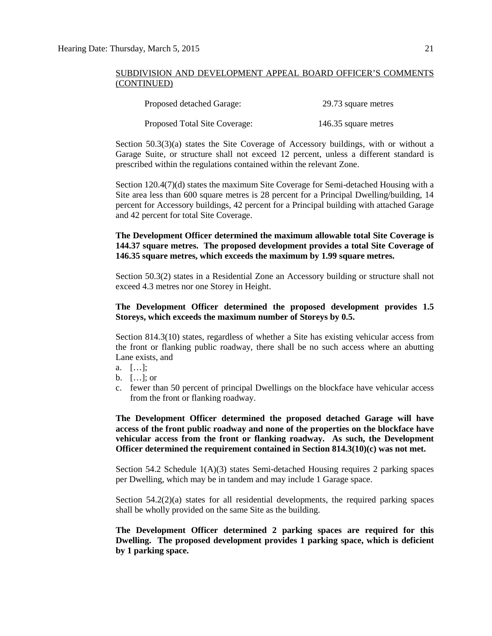| Proposed detached Garage:     | 29.73 square metres  |
|-------------------------------|----------------------|
| Proposed Total Site Coverage: | 146.35 square metres |

Section 50.3(3)(a) states the Site Coverage of Accessory buildings, with or without a Garage Suite, or structure shall not exceed 12 percent, unless a different standard is prescribed within the regulations contained within the relevant Zone.

Section 120.4(7)(d) states the maximum Site Coverage for Semi-detached Housing with a Site area less than 600 square metres is 28 percent for a Principal Dwelling/building, 14 percent for Accessory buildings, 42 percent for a Principal building with attached Garage and 42 percent for total Site Coverage.

## **The Development Officer determined the maximum allowable total Site Coverage is 144.37 square metres. The proposed development provides a total Site Coverage of 146.35 square metres, which exceeds the maximum by 1.99 square metres.**

Section 50.3(2) states in a Residential Zone an Accessory building or structure shall not exceed 4.3 metres nor one Storey in Height.

## **The Development Officer determined the proposed development provides 1.5 Storeys, which exceeds the maximum number of Storeys by 0.5.**

Section 814.3(10) states, regardless of whether a Site has existing vehicular access from the front or flanking public roadway, there shall be no such access where an abutting Lane exists, and

- a. […];
- b. […]; or
- c. fewer than 50 percent of principal Dwellings on the blockface have vehicular access from the front or flanking roadway.

**The Development Officer determined the proposed detached Garage will have access of the front public roadway and none of the properties on the blockface have vehicular access from the front or flanking roadway. As such, the Development Officer determined the requirement contained in Section 814.3(10)(c) was not met.**

Section 54.2 Schedule 1(A)(3) states Semi-detached Housing requires 2 parking spaces per Dwelling, which may be in tandem and may include 1 Garage space.

Section  $54.2(2)(a)$  states for all residential developments, the required parking spaces shall be wholly provided on the same Site as the building.

**The Development Officer determined 2 parking spaces are required for this Dwelling. The proposed development provides 1 parking space, which is deficient by 1 parking space.**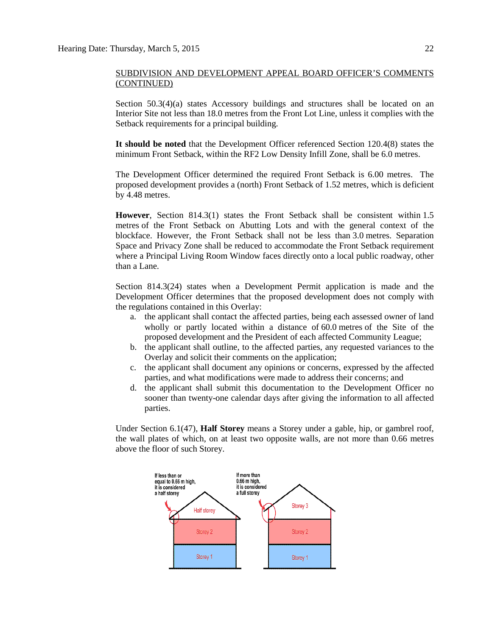Section  $50.3(4)(a)$  states Accessory buildings and structures shall be located on an Interior Site not less than 18.0 metres from the Front Lot Line, unless it complies with the Setback requirements for a principal building.

**It should be noted** that the Development Officer referenced Section 120.4(8) states the minimum Front Setback, within the RF2 Low Density Infill Zone, shall be 6.0 metres.

The Development Officer determined the required Front Setback is 6.00 metres. The proposed development provides a (north) Front Setback of 1.52 metres, which is deficient by 4.48 metres.

**However**, Section 814.3(1) states the Front Setback shall be consistent within [1.5](javascript:void(0);)  [me](javascript:void(0);)tres of the Front Setback on Abutting Lots and with the general context of the blockface. However, the Front Setback shall not be less than [3.0](javascript:void(0);) metres. Separation Space and Privacy Zone shall be reduced to accommodate the Front Setback requirement where a Principal Living Room Window faces directly onto a local public roadway, other than a Lane.

Section 814.3(24) states when a Development Permit application is made and the Development Officer determines that the proposed development does not comply with the regulations contained in this Overlay:

- a. the applicant shall contact the affected parties, being each assessed owner of land wholly or partly located within a distance of [60.0](javascript:void(0);) metres of the Site of the proposed development and the President of each affected Community League;
- b. the applicant shall outline, to the affected parties, any requested variances to the Overlay and solicit their comments on the application;
- c. the applicant shall document any opinions or concerns, expressed by the affected parties, and what modifications were made to address their concerns; and
- d. the applicant shall submit this documentation to the Development Officer no sooner than twenty-one calendar days after giving the information to all affected parties.

Under Section 6.1(47), **Half Storey** means a Storey under a gable, hip, or gambrel roof, the wall plates of which, on at least two opposite walls, are not more than 0.66 metres above the floor of such Storey.

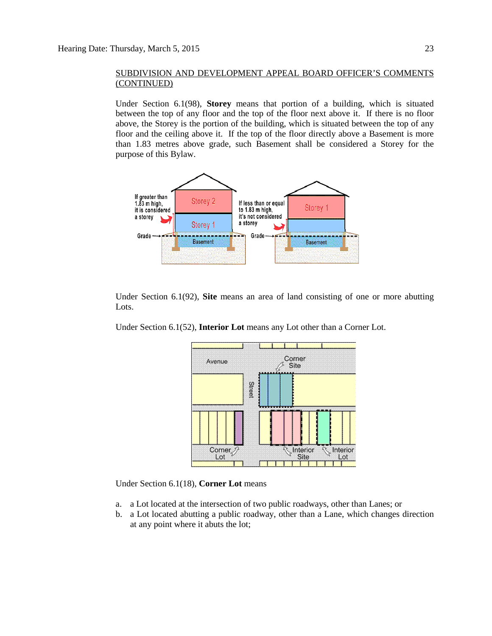Under Section 6.1(98), **Storey** means that portion of a building, which is situated between the top of any floor and the top of the floor next above it. If there is no floor above, the Storey is the portion of the building, which is situated between the top of any floor and the ceiling above it. If the top of the floor directly above a Basement is more than 1.83 metres above grade, such Basement shall be considered a Storey for the purpose of this Bylaw.

![](_page_22_Figure_3.jpeg)

Under Section 6.1(92), **Site** means an area of land consisting of one or more abutting Lots.

Under Section 6.1(52), **Interior Lot** means any Lot other than a Corner Lot.

![](_page_22_Figure_6.jpeg)

Under Section 6.1(18), **Corner Lot** means

- a. a Lot located at the intersection of two public roadways, other than Lanes; or
- b. a Lot located abutting a public roadway, other than a Lane, which changes direction at any point where it abuts the lot;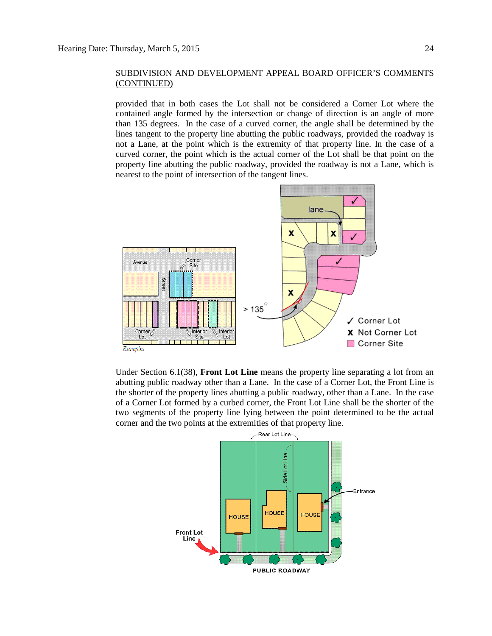provided that in both cases the Lot shall not be considered a Corner Lot where the contained angle formed by the intersection or change of direction is an angle of more than 135 degrees. In the case of a curved corner, the angle shall be determined by the lines tangent to the property line abutting the public roadways, provided the roadway is not a Lane, at the point which is the extremity of that property line. In the case of a curved corner, the point which is the actual corner of the Lot shall be that point on the property line abutting the public roadway, provided the roadway is not a Lane, which is nearest to the point of intersection of the tangent lines.

![](_page_23_Figure_3.jpeg)

Under Section 6.1(38), **Front Lot Line** means the property line separating a lot from an abutting public roadway other than a Lane. In the case of a Corner Lot, the Front Line is the shorter of the property lines abutting a public roadway, other than a Lane. In the case of a Corner Lot formed by a curbed corner, the Front Lot Line shall be the shorter of the two segments of the property line lying between the point determined to be the actual corner and the two points at the extremities of that property line.

![](_page_23_Figure_5.jpeg)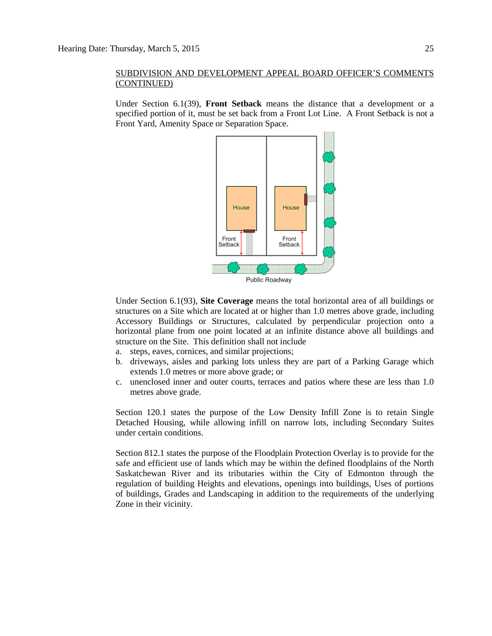Under Section 6.1(39), **Front Setback** means the distance that a development or a specified portion of it, must be set back from a Front Lot Line. A Front Setback is not a Front Yard, Amenity Space or Separation Space.

![](_page_24_Figure_3.jpeg)

Under Section 6.1(93), **Site Coverage** means the total horizontal area of all buildings or structures on a Site which are located at or higher than 1.0 metres above grade, including Accessory Buildings or Structures, calculated by perpendicular projection onto a horizontal plane from one point located at an infinite distance above all buildings and structure on the Site. This definition shall not include

- a. steps, eaves, cornices, and similar projections;
- b. driveways, aisles and parking lots unless they are part of a Parking Garage which extends 1.0 metres or more above grade; or
- c. unenclosed inner and outer courts, terraces and patios where these are less than 1.0 metres above grade.

Section 120.1 states the purpose of the Low Density Infill Zone is to retain Single Detached Housing, while allowing infill on narrow lots, including Secondary Suites under certain conditions.

Section 812.1 states the purpose of the Floodplain Protection Overlay is to provide for the safe and efficient use of lands which may be within the defined floodplains of the North Saskatchewan River and its tributaries within the City of Edmonton through the regulation of building Heights and elevations, openings into buildings, Uses of portions of buildings, Grades and Landscaping in addition to the requirements of the underlying Zone in their vicinity.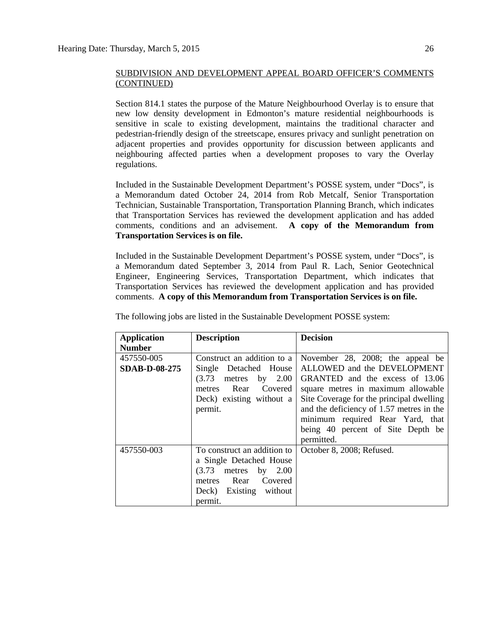Section 814.1 states the purpose of the Mature Neighbourhood Overlay is to ensure that new low density development in Edmonton's mature residential neighbourhoods is sensitive in scale to existing development, maintains the traditional character and pedestrian-friendly design of the streetscape, ensures privacy and sunlight penetration on adjacent properties and provides opportunity for discussion between applicants and neighbouring affected parties when a development proposes to vary the Overlay regulations.

Included in the Sustainable Development Department's POSSE system, under "Docs", is a Memorandum dated October 24, 2014 from Rob Metcalf, Senior Transportation Technician, Sustainable Transportation, Transportation Planning Branch, which indicates that Transportation Services has reviewed the development application and has added comments, conditions and an advisement. **A copy of the Memorandum from Transportation Services is on file.**

Included in the Sustainable Development Department's POSSE system, under "Docs", is a Memorandum dated September 3, 2014 from Paul R. Lach, Senior Geotechnical Engineer, Engineering Services, Transportation Department, which indicates that Transportation Services has reviewed the development application and has provided comments. **A copy of this Memorandum from Transportation Services is on file.**

| <b>Application</b>   | <b>Description</b>            | <b>Decision</b>                          |
|----------------------|-------------------------------|------------------------------------------|
| <b>Number</b>        |                               |                                          |
| 457550-005           | Construct an addition to a    | November 28, 2008; the appeal be         |
| <b>SDAB-D-08-275</b> | Single Detached House         | ALLOWED and the DEVELOPMENT              |
|                      | (3.73)<br>by $2.00$<br>metres | GRANTED and the excess of 13.06          |
|                      | Rear Covered<br>metres        | square metres in maximum allowable       |
|                      | Deck) existing without a      | Site Coverage for the principal dwelling |
|                      | permit.                       | and the deficiency of 1.57 metres in the |
|                      |                               | minimum required Rear Yard, that         |
|                      |                               | being 40 percent of Site Depth be        |
|                      |                               | permitted.                               |
| 457550-003           | To construct an addition to   | October 8, 2008; Refused.                |
|                      | a Single Detached House       |                                          |
|                      | (3.73)<br>metres by 2.00      |                                          |
|                      | Rear Covered<br>metres        |                                          |
|                      | Deck) Existing without        |                                          |
|                      | permit.                       |                                          |

The following jobs are listed in the Sustainable Development POSSE system: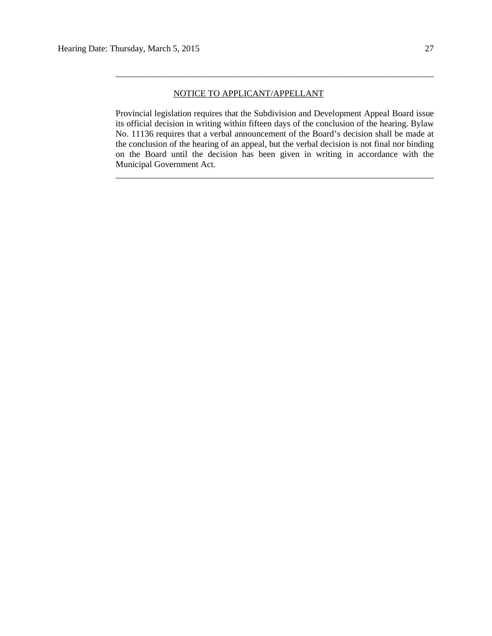## NOTICE TO APPLICANT/APPELLANT

Provincial legislation requires that the Subdivision and Development Appeal Board issue its official decision in writing within fifteen days of the conclusion of the hearing. Bylaw No. 11136 requires that a verbal announcement of the Board's decision shall be made at the conclusion of the hearing of an appeal, but the verbal decision is not final nor binding on the Board until the decision has been given in writing in accordance with the Municipal Government Act.

\_\_\_\_\_\_\_\_\_\_\_\_\_\_\_\_\_\_\_\_\_\_\_\_\_\_\_\_\_\_\_\_\_\_\_\_\_\_\_\_\_\_\_\_\_\_\_\_\_\_\_\_\_\_\_\_\_\_\_\_\_\_\_\_\_\_\_\_\_\_\_\_

\_\_\_\_\_\_\_\_\_\_\_\_\_\_\_\_\_\_\_\_\_\_\_\_\_\_\_\_\_\_\_\_\_\_\_\_\_\_\_\_\_\_\_\_\_\_\_\_\_\_\_\_\_\_\_\_\_\_\_\_\_\_\_\_\_\_\_\_\_\_\_\_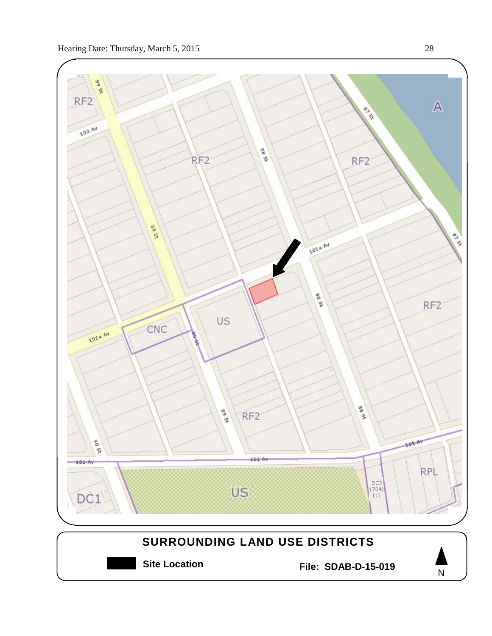![](_page_27_Figure_1.jpeg)

# **SURROUNDING LAND USE DISTRICTS**

**Site Location File: SDAB-D-15-019**

![](_page_27_Picture_5.jpeg)